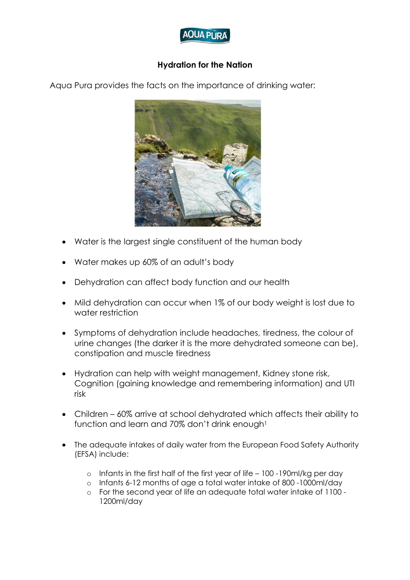

## **Hydration for the Nation**

Aqua Pura provides the facts on the importance of drinking water:



- Water is the largest single constituent of the human body
- Water makes up 60% of an adult's body
- Dehydration can affect body function and our health
- Mild dehydration can occur when 1% of our body weight is lost due to water restriction
- Symptoms of dehydration include headaches, tiredness, the colour of urine changes (the darker it is the more dehydrated someone can be), constipation and muscle tiredness
- Hydration can help with weight management, Kidney stone risk, Cognition (gaining knowledge and remembering information) and UTI risk
- Children 60% arrive at school dehydrated which affects their ability to function and learn and 70% don't drink enough<sup>1</sup>
- The adequate intakes of daily water from the European Food Safety Authority (EFSA) include:
	- o Infants in the first half of the first year of life 100 -190ml/kg per day
	- o Infants 6-12 months of age a total water intake of 800 -1000ml/day
	- o For the second year of life an adequate total water intake of 1100 1200ml/day